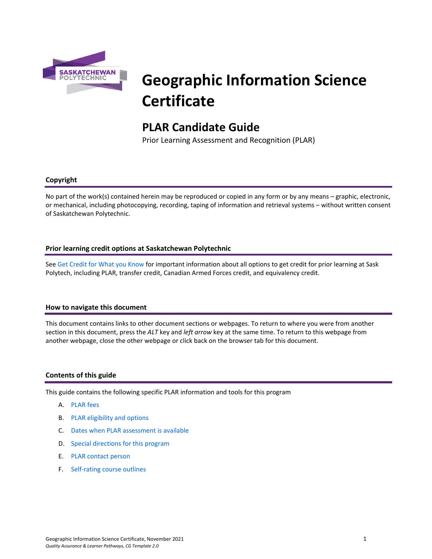

# **Geographic Information Science Certificate**

# **PLAR Candidate Guide**

Prior Learning Assessment and Recognition (PLAR)

# **Copyright**

No part of the work(s) contained herein may be reproduced or copied in any form or by any means – graphic, electronic, or mechanical, including photocopying, recording, taping of information and retrieval systems – without written consent of Saskatchewan Polytechnic.

# **Prior learning credit options at Saskatchewan Polytechnic**

Se[e Get Credit for What you Know](https://saskpolytech.ca/admissions/get-credit/) for important information about all options to get credit for prior learning at Sask Polytech, including PLAR, transfer credit, Canadian Armed Forces credit, and equivalency credit.

#### **How to navigate this document**

This document contains links to other document sections or webpages. To return to where you were from another section in this document, press the *ALT* key and *left arrow* key at the same time. To return to this webpage from another webpage, close the other webpage or click back on the browser tab for this document.

#### **Contents of this guide**

This guide contains the following specific PLAR information and tools for this program

- A. [PLAR fees](#page-1-0)
- B. [PLAR eligibility and options](#page-1-1)
- C. [Dates when PLAR assessment is available](#page-1-2)
- D. [Special directions for this program](#page-1-3)
- E. PLAR [contact person](#page-2-0)
- F. [Self-rating course outlines](#page-2-1)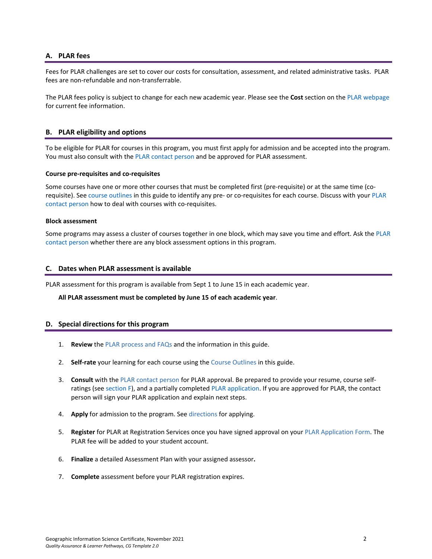# <span id="page-1-0"></span>**A. PLAR fees**

Fees for PLAR challenges are set to cover our costs for consultation, assessment, and related administrative tasks. PLAR fees are non-refundable and non-transferrable.

<span id="page-1-1"></span>The PLAR fees policy is subject to change for each new academic year. Please see the **Cost** section on the [PLAR webpage](https://saskpolytech.ca/admissions/get-credit/plar.aspx) for current fee information.

# **B. PLAR eligibility and options**

To be eligible for PLAR for courses in this program, you must first apply for admission and be accepted into the program. You must also consult with th[e PLAR contact person](#page-2-0) and be approved for PLAR assessment.

#### **Course pre-requisites and co-requisites**

Some courses have one or more other courses that must be completed first (pre-requisite) or at the same time (corequisite). See course outlines in this guide to identify any pre- or co-requisites for each course. Discuss with your [PLAR](#page-2-0)  [contact person](#page-2-0) how to deal with courses with co-requisites.

#### **Block assessment**

<span id="page-1-2"></span>Some programs may assess a cluster of courses together in one block, which may save you time and effort. Ask the PLAR [contact person](#page-2-0) whether there are any block assessment options in this program.

#### **C. Dates when PLAR assessment is available**

PLAR assessment for this program is available from Sept 1 to June 15 in each academic year.

<span id="page-1-3"></span>**All PLAR assessment must be completed by June 15 of each academic year**.

#### **D. Special directions for this program**

- 1. **Review** th[e PLAR process and FAQs](https://saskpolytech.ca/admissions/get-credit/plar.aspx) and the information in this guide.
- 2. **Self-rate** your learning for each course using the Course Outlines in this guide.
- 3. **Consult** with th[e PLAR contact person](#page-2-0) for PLAR approval. Be prepared to provide your resume, course selfratings (see section F), and a partially complete[d PLAR application.](https://saskpolytech.ca/admissions/resources/documents/plar-application-form.pdf) If you are approved for PLAR, the contact person will sign your PLAR application and explain next steps.
- 4. **Apply** for admission to the program. Se[e directions](https://saskpolytech.ca/admissions/apply-and-register/apply-to-a-program.aspx) for applying.
- 5. **Register** for PLAR at Registration Services once you have signed approval on your [PLAR Application Form.](http://saskpolytech.ca/admissions/resources/documents/plar-application-form.pdf) The PLAR fee will be added to your student account.
- 6. **Finalize** a detailed Assessment Plan with your assigned assessor**.**
- 7. **Complete** assessment before your PLAR registration expires.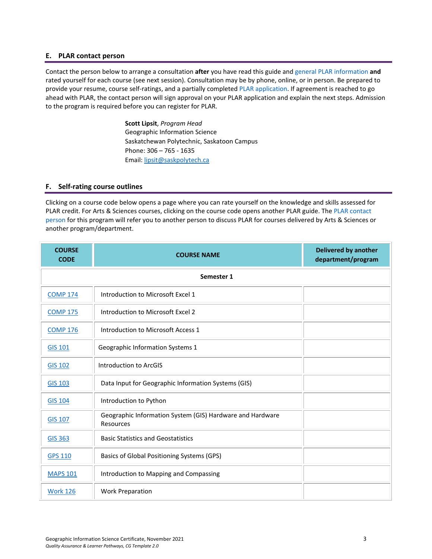#### <span id="page-2-0"></span>**E. PLAR contact person**

Contact the person below to arrange a consultation **after** you have read this guide and [general PLAR information](http://saskpolytech.ca/admissions/resources/prior-learning-process.aspx) **and** rated yourself for each course (see next session). Consultation may be by phone, online, or in person. Be prepared to provide your resume, course self-ratings, and a partially complete[d PLAR application.](https://saskpolytech.ca/admissions/resources/documents/plar-application-form.pdf#search=PLAR%20application) If agreement is reached to go ahead with PLAR, the contact person will sign approval on your PLAR application and explain the next steps. Admission to the program is required before you can register for PLAR.

> **Scott Lipsit**, *Program Head* Geographic Information Science Saskatchewan Polytechnic, Saskatoon Campus Phone: 306 – 765 - 1635 Email[: lipsit@saskpolytech.ca](mailto:lipsit@saskpolytech.ca)

#### <span id="page-2-1"></span>**F. Self-rating course outlines**

Clicking on a course code below opens a page where you can rate yourself on the knowledge and skills assessed for PLAR credit. For Arts & Sciences courses, clicking on the course code opens another PLAR guide. The [PLAR contact](#page-2-0)  [person](#page-2-0) for this program will refer you to another person to discuss PLAR for courses delivered by Arts & Sciences or another program/department.

| <b>COURSE</b><br><b>CODE</b> | <b>COURSE NAME</b>                                                     | <b>Delivered by another</b><br>department/program |
|------------------------------|------------------------------------------------------------------------|---------------------------------------------------|
|                              | Semester 1                                                             |                                                   |
| <b>COMP 174</b>              | Introduction to Microsoft Excel 1                                      |                                                   |
| <b>COMP 175</b>              | Introduction to Microsoft Excel 2                                      |                                                   |
| <b>COMP 176</b>              | Introduction to Microsoft Access 1                                     |                                                   |
| <b>GIS 101</b>               | Geographic Information Systems 1                                       |                                                   |
| <b>GIS 102</b>               | Introduction to ArcGIS                                                 |                                                   |
| <b>GIS 103</b>               | Data Input for Geographic Information Systems (GIS)                    |                                                   |
| <b>GIS 104</b>               | Introduction to Python                                                 |                                                   |
| <b>GIS 107</b>               | Geographic Information System (GIS) Hardware and Hardware<br>Resources |                                                   |
| <b>GIS 363</b>               | <b>Basic Statistics and Geostatistics</b>                              |                                                   |
| <b>GPS 110</b>               | Basics of Global Positioning Systems (GPS)                             |                                                   |
| <b>MAPS 101</b>              | Introduction to Mapping and Compassing                                 |                                                   |
| <b>Work 126</b>              | <b>Work Preparation</b>                                                |                                                   |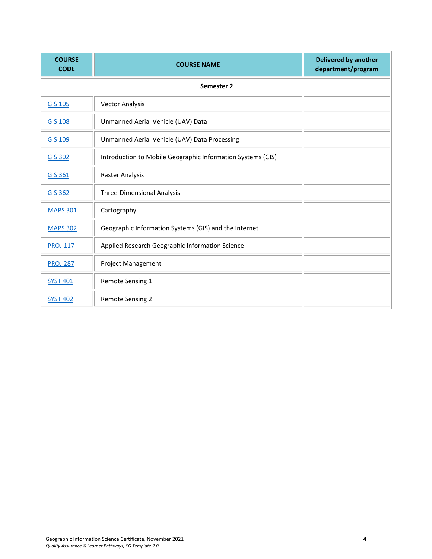| <b>COURSE</b><br><b>CODE</b> | <b>COURSE NAME</b>                                          | <b>Delivered by another</b><br>department/program |  |  |  |  |
|------------------------------|-------------------------------------------------------------|---------------------------------------------------|--|--|--|--|
|                              | Semester 2                                                  |                                                   |  |  |  |  |
| <b>GIS 105</b>               | <b>Vector Analysis</b>                                      |                                                   |  |  |  |  |
| <b>GIS 108</b>               | Unmanned Aerial Vehicle (UAV) Data                          |                                                   |  |  |  |  |
| <b>GIS 109</b>               | Unmanned Aerial Vehicle (UAV) Data Processing               |                                                   |  |  |  |  |
| <b>GIS 302</b>               | Introduction to Mobile Geographic Information Systems (GIS) |                                                   |  |  |  |  |
| <b>GIS 361</b>               | Raster Analysis                                             |                                                   |  |  |  |  |
| <b>GIS 362</b>               | <b>Three-Dimensional Analysis</b>                           |                                                   |  |  |  |  |
| <b>MAPS 301</b>              | Cartography                                                 |                                                   |  |  |  |  |
| <b>MAPS 302</b>              | Geographic Information Systems (GIS) and the Internet       |                                                   |  |  |  |  |
| <b>PROJ 117</b>              | Applied Research Geographic Information Science             |                                                   |  |  |  |  |
| <b>PROJ 287</b>              | <b>Project Management</b>                                   |                                                   |  |  |  |  |
| <b>SYST 401</b>              | Remote Sensing 1                                            |                                                   |  |  |  |  |
| <b>SYST 402</b>              | <b>Remote Sensing 2</b>                                     |                                                   |  |  |  |  |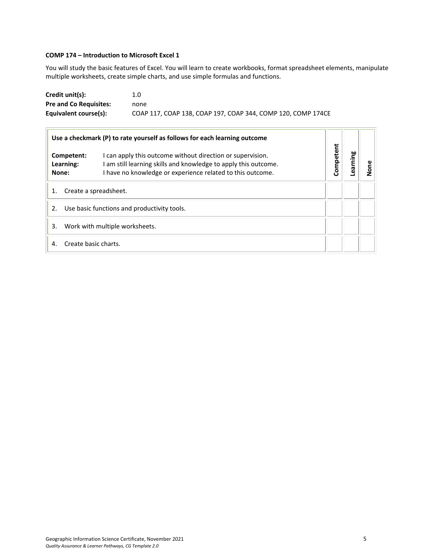# <span id="page-4-0"></span>**COMP 174 – Introduction to Microsoft Excel 1**

You will study the basic features of Excel. You will learn to create workbooks, format spreadsheet elements, manipulate multiple worksheets, create simple charts, and use simple formulas and functions.

| Credit unit(s):               | 1.0                                                          |
|-------------------------------|--------------------------------------------------------------|
| <b>Pre and Co Requisites:</b> | none                                                         |
| Equivalent course(s):         | COAP 117, COAP 138, COAP 197, COAP 344, COMP 120, COMP 174CE |

|                                                   |                                  | Use a checkmark (P) to rate yourself as follows for each learning outcome                                                                                                                   |           |         | None |
|---------------------------------------------------|----------------------------------|---------------------------------------------------------------------------------------------------------------------------------------------------------------------------------------------|-----------|---------|------|
|                                                   | Competent:<br>Learning:<br>None: | I can apply this outcome without direction or supervision.<br>I am still learning skills and knowledge to apply this outcome.<br>I have no knowledge or experience related to this outcome. | Competent | guiuae- |      |
| 1.                                                |                                  | Create a spreadsheet.                                                                                                                                                                       |           |         |      |
| Use basic functions and productivity tools.<br>2. |                                  |                                                                                                                                                                                             |           |         |      |
| 3.                                                | Work with multiple worksheets.   |                                                                                                                                                                                             |           |         |      |
| 4.                                                | Create basic charts.             |                                                                                                                                                                                             |           |         |      |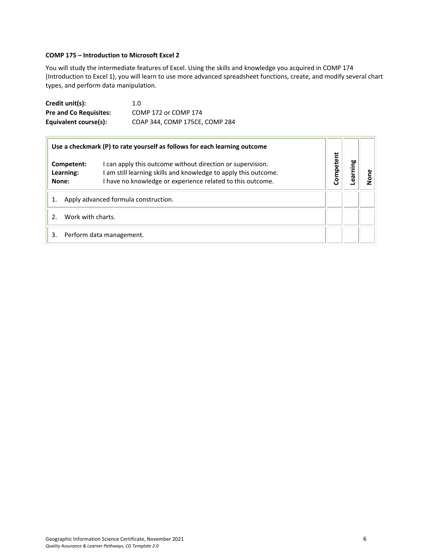# <span id="page-5-0"></span>**COMP 175 – Introduction to Microsoft Excel 2**

You will study the intermediate features of Excel. Using the skills and knowledge you acquired in COMP 174 (Introduction to Excel 1), you will learn to use more advanced spreadsheet functions, create, and modify several chart types, and perform data manipulation.

| Credit unit(s):               | 1.0                            |
|-------------------------------|--------------------------------|
| <b>Pre and Co Requisites:</b> | COMP 172 or COMP 174           |
| Equivalent course(s):         | COAP 344, COMP 175CE, COMP 284 |

|    |                                      | Use a checkmark (P) to rate yourself as follows for each learning outcome                                                                                                                 |           |         |     |
|----|--------------------------------------|-------------------------------------------------------------------------------------------------------------------------------------------------------------------------------------------|-----------|---------|-----|
|    | Competent:<br>Learning:<br>None:     | I can apply this outcome without direction or supervision.<br>am still learning skills and knowledge to apply this outcome.<br>I have no knowledge or experience related to this outcome. | Competent | earning | eno |
|    | Apply advanced formula construction. |                                                                                                                                                                                           |           |         |     |
|    | Work with charts.                    |                                                                                                                                                                                           |           |         |     |
| 3. |                                      | Perform data management.                                                                                                                                                                  |           |         |     |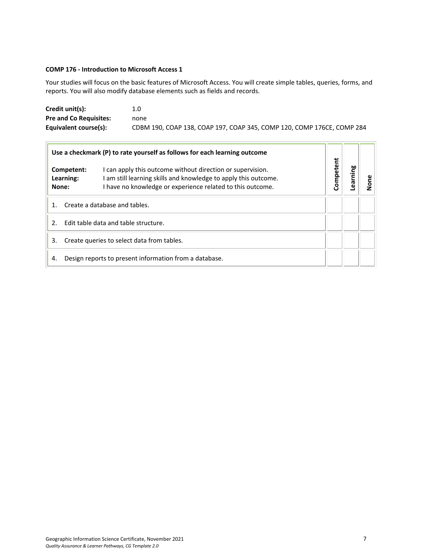# <span id="page-6-0"></span>**COMP 176 - Introduction to Microsoft Access 1**

 $\overline{ }$ 

Your studies will focus on the basic features of Microsoft Access. You will create simple tables, queries, forms, and reports. You will also modify database elements such as fields and records.

| Credit unit(s):               | 1.0                                                                    |
|-------------------------------|------------------------------------------------------------------------|
| <b>Pre and Co Requisites:</b> | none                                                                   |
| Equivalent course(s):         | CDBM 190, COAP 138, COAP 197, COAP 345, COMP 120, COMP 176CE, COMP 284 |

| Use a checkmark (P) to rate yourself as follows for each learning outcome |                                  |                                                                                                                                                                                           |           |         |      |
|---------------------------------------------------------------------------|----------------------------------|-------------------------------------------------------------------------------------------------------------------------------------------------------------------------------------------|-----------|---------|------|
|                                                                           | Competent:<br>Learning:<br>None: | I can apply this outcome without direction or supervision.<br>am still learning skills and knowledge to apply this outcome.<br>I have no knowledge or experience related to this outcome. | Competent | earning | None |
| Create a database and tables.<br>$1_{-}$                                  |                                  |                                                                                                                                                                                           |           |         |      |
| Edit table data and table structure.<br>$\mathcal{P}$                     |                                  |                                                                                                                                                                                           |           |         |      |
| Create queries to select data from tables.<br>3.                          |                                  |                                                                                                                                                                                           |           |         |      |
| 4.                                                                        |                                  | Design reports to present information from a database.                                                                                                                                    |           |         |      |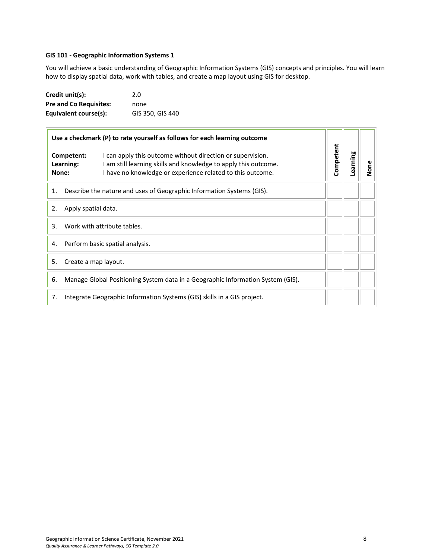#### <span id="page-7-0"></span>**GIS 101 - Geographic Information Systems 1**

You will achieve a basic understanding of Geographic Information Systems (GIS) concepts and principles. You will learn how to display spatial data, work with tables, and create a map layout using GIS for desktop.

| Credit unit(s):               | 2.0              |
|-------------------------------|------------------|
| <b>Pre and Co Requisites:</b> | none             |
| Equivalent course(s):         | GIS 350, GIS 440 |

|    |                                  | Use a checkmark (P) to rate yourself as follows for each learning outcome                                                                                                                   |           |          |      |
|----|----------------------------------|---------------------------------------------------------------------------------------------------------------------------------------------------------------------------------------------|-----------|----------|------|
|    | Competent:<br>Learning:<br>None: | I can apply this outcome without direction or supervision.<br>I am still learning skills and knowledge to apply this outcome.<br>I have no knowledge or experience related to this outcome. | Competent | Learning | None |
| 1. |                                  | Describe the nature and uses of Geographic Information Systems (GIS).                                                                                                                       |           |          |      |
| 2. | Apply spatial data.              |                                                                                                                                                                                             |           |          |      |
| 3. |                                  | Work with attribute tables.                                                                                                                                                                 |           |          |      |
| 4. |                                  | Perform basic spatial analysis.                                                                                                                                                             |           |          |      |
| 5. | Create a map layout.             |                                                                                                                                                                                             |           |          |      |
| 6. |                                  | Manage Global Positioning System data in a Geographic Information System (GIS).                                                                                                             |           |          |      |
| 7. |                                  | Integrate Geographic Information Systems (GIS) skills in a GIS project.                                                                                                                     |           |          |      |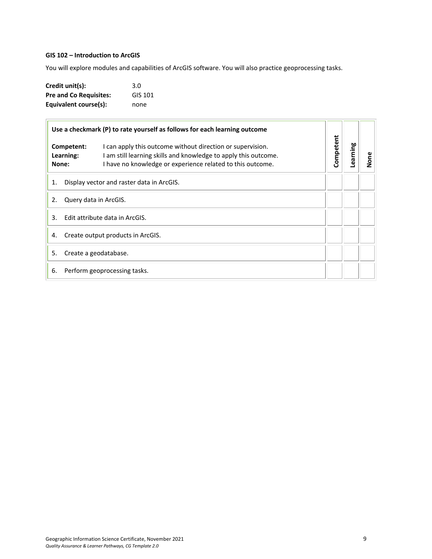# <span id="page-8-0"></span>**GIS 102 – Introduction to ArcGIS**

You will explore modules and capabilities of ArcGIS software. You will also practice geoprocessing tasks.

| Credit unit(s):               | 3.0     |
|-------------------------------|---------|
| <b>Pre and Co Requisites:</b> | GIS 101 |
| Equivalent course(s):         | none    |

| Use a checkmark (P) to rate yourself as follows for each learning outcome |                         |                                                                                                                                                                                             |                       |  |      |
|---------------------------------------------------------------------------|-------------------------|---------------------------------------------------------------------------------------------------------------------------------------------------------------------------------------------|-----------------------|--|------|
| None:                                                                     | Competent:<br>Learning: | I can apply this outcome without direction or supervision.<br>I am still learning skills and knowledge to apply this outcome.<br>I have no knowledge or experience related to this outcome. | Competent<br>Learning |  | None |
| Display vector and raster data in ArcGIS.<br>1.                           |                         |                                                                                                                                                                                             |                       |  |      |
| Query data in ArcGIS.<br>2.                                               |                         |                                                                                                                                                                                             |                       |  |      |
| Edit attribute data in ArcGIS.<br>3.                                      |                         |                                                                                                                                                                                             |                       |  |      |
| Create output products in ArcGIS.<br>4.                                   |                         |                                                                                                                                                                                             |                       |  |      |
| Create a geodatabase.<br>5.                                               |                         |                                                                                                                                                                                             |                       |  |      |
| Perform geoprocessing tasks.<br>6.                                        |                         |                                                                                                                                                                                             |                       |  |      |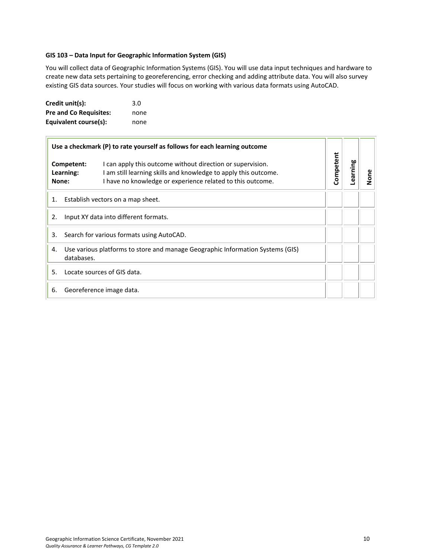#### <span id="page-9-0"></span>**GIS 103 – Data Input for Geographic Information System (GIS)**

You will collect data of Geographic Information Systems (GIS). You will use data input techniques and hardware to create new data sets pertaining to georeferencing, error checking and adding attribute data. You will also survey existing GIS data sources. Your studies will focus on working with various data formats using AutoCAD.

| Credit unit(s):               | 3.0  |
|-------------------------------|------|
| <b>Pre and Co Requisites:</b> | none |
| Equivalent course(s):         | none |

|                                                 |                         | Use a checkmark (P) to rate yourself as follows for each learning outcome                                                                                                                   |           |          |      |
|-------------------------------------------------|-------------------------|---------------------------------------------------------------------------------------------------------------------------------------------------------------------------------------------|-----------|----------|------|
| None:                                           | Competent:<br>Learning: | I can apply this outcome without direction or supervision.<br>I am still learning skills and knowledge to apply this outcome.<br>I have no knowledge or experience related to this outcome. | Competent | Learning | None |
| Establish vectors on a map sheet.<br>1.         |                         |                                                                                                                                                                                             |           |          |      |
| 2.                                              |                         | Input XY data into different formats.                                                                                                                                                       |           |          |      |
| Search for various formats using AutoCAD.<br>3. |                         |                                                                                                                                                                                             |           |          |      |
| 4.                                              | databases.              | Use various platforms to store and manage Geographic Information Systems (GIS)                                                                                                              |           |          |      |
| .5.                                             |                         | Locate sources of GIS data.                                                                                                                                                                 |           |          |      |
| 6.                                              |                         | Georeference image data.                                                                                                                                                                    |           |          |      |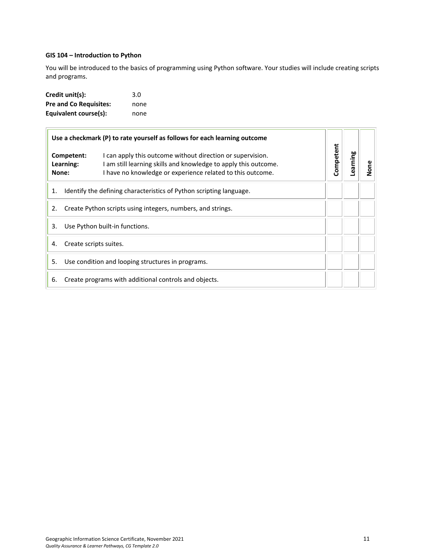# <span id="page-10-0"></span>**GIS 104 – Introduction to Python**

You will be introduced to the basics of programming using Python software. Your studies will include creating scripts and programs.

| Credit unit(s):               | 3.0  |
|-------------------------------|------|
| <b>Pre and Co Requisites:</b> | none |
| Equivalent course(s):         | none |

|    |                                  | Use a checkmark (P) to rate yourself as follows for each learning outcome                                                                                                                   |           |          | None |
|----|----------------------------------|---------------------------------------------------------------------------------------------------------------------------------------------------------------------------------------------|-----------|----------|------|
|    | Competent:<br>Learning:<br>None: | I can apply this outcome without direction or supervision.<br>I am still learning skills and knowledge to apply this outcome.<br>I have no knowledge or experience related to this outcome. | Competent | Learning |      |
| 1. |                                  | Identify the defining characteristics of Python scripting language.                                                                                                                         |           |          |      |
| 2. |                                  | Create Python scripts using integers, numbers, and strings.                                                                                                                                 |           |          |      |
| 3. |                                  | Use Python built-in functions.                                                                                                                                                              |           |          |      |
| 4. | Create scripts suites.           |                                                                                                                                                                                             |           |          |      |
| 5. |                                  | Use condition and looping structures in programs.                                                                                                                                           |           |          |      |
| 6. |                                  | Create programs with additional controls and objects.                                                                                                                                       |           |          |      |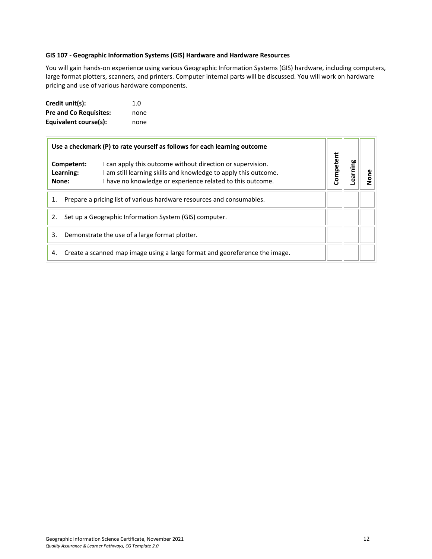#### <span id="page-11-0"></span>**GIS 107 - Geographic Information Systems (GIS) Hardware and Hardware Resources**

You will gain hands-on experience using various Geographic Information Systems (GIS) hardware, including computers, large format plotters, scanners, and printers. Computer internal parts will be discussed. You will work on hardware pricing and use of various hardware components.

| Credit unit(s):               | 1. $\Omega$ |
|-------------------------------|-------------|
| <b>Pre and Co Requisites:</b> | none        |
| Equivalent course(s):         | none        |

|                                                                             | Use a checkmark (P) to rate yourself as follows for each learning outcome                                                                                                                   |           |          |      |
|-----------------------------------------------------------------------------|---------------------------------------------------------------------------------------------------------------------------------------------------------------------------------------------|-----------|----------|------|
| Competent:<br>Learning:<br>None:                                            | I can apply this outcome without direction or supervision.<br>I am still learning skills and knowledge to apply this outcome.<br>I have no knowledge or experience related to this outcome. | Competent | earning. | None |
| Prepare a pricing list of various hardware resources and consumables.<br>1. |                                                                                                                                                                                             |           |          |      |
| 2.                                                                          | Set up a Geographic Information System (GIS) computer.                                                                                                                                      |           |          |      |
| 3.                                                                          | Demonstrate the use of a large format plotter.                                                                                                                                              |           |          |      |
| 4.                                                                          | Create a scanned map image using a large format and georeference the image.                                                                                                                 |           |          |      |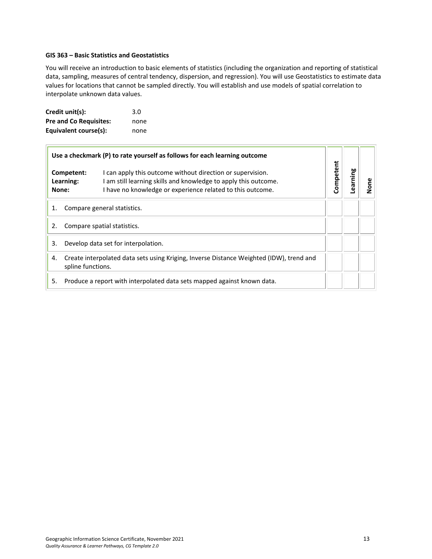#### <span id="page-12-0"></span>**GIS 363 – Basic Statistics and Geostatistics**

You will receive an introduction to basic elements of statistics (including the organization and reporting of statistical data, sampling, measures of central tendency, dispersion, and regression). You will use Geostatistics to estimate data values for locations that cannot be sampled directly. You will establish and use models of spatial correlation to interpolate unknown data values.

| Credit unit(s):               | 3.0  |
|-------------------------------|------|
| <b>Pre and Co Requisites:</b> | none |
| Equivalent course(s):         | none |

|    |                                                                                                              | Use a checkmark (P) to rate yourself as follows for each learning outcome                                                                                                                   |           |                |      |
|----|--------------------------------------------------------------------------------------------------------------|---------------------------------------------------------------------------------------------------------------------------------------------------------------------------------------------|-----------|----------------|------|
|    | Competent:<br>Learning:<br>None:                                                                             | I can apply this outcome without direction or supervision.<br>I am still learning skills and knowledge to apply this outcome.<br>I have no knowledge or experience related to this outcome. | Competent | <b>earning</b> | None |
| 1. | Compare general statistics.                                                                                  |                                                                                                                                                                                             |           |                |      |
| 2. |                                                                                                              | Compare spatial statistics.                                                                                                                                                                 |           |                |      |
| 3. |                                                                                                              | Develop data set for interpolation.                                                                                                                                                         |           |                |      |
| 4. | Create interpolated data sets using Kriging, Inverse Distance Weighted (IDW), trend and<br>spline functions. |                                                                                                                                                                                             |           |                |      |
| 5. |                                                                                                              | Produce a report with interpolated data sets mapped against known data.                                                                                                                     |           |                |      |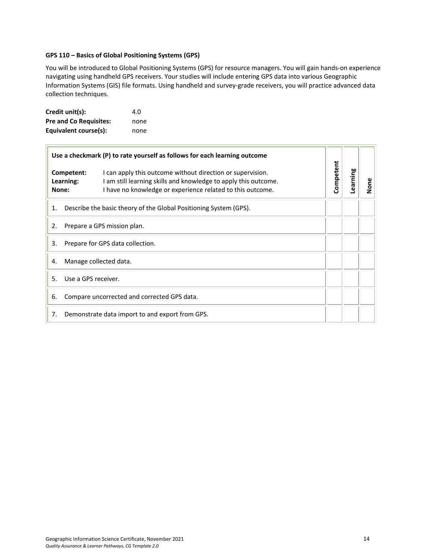# <span id="page-13-0"></span>**GPS 110 – Basics of Global Positioning Systems (GPS)**

You will be introduced to Global Positioning Systems (GPS) for resource managers. You will gain hands-on experience navigating using handheld GPS receivers. Your studies will include entering GPS data into various Geographic Information Systems (GIS) file formats. Using handheld and survey-grade receivers, you will practice advanced data collection techniques.

| Credit unit(s):               | 4.0  |
|-------------------------------|------|
| <b>Pre and Co Requisites:</b> | none |
| Equivalent course(s):         | none |

|       | Use a checkmark (P) to rate yourself as follows for each learning outcome                                                                                                                                              |           |          |      |
|-------|------------------------------------------------------------------------------------------------------------------------------------------------------------------------------------------------------------------------|-----------|----------|------|
| None: | Competent:<br>I can apply this outcome without direction or supervision.<br>I am still learning skills and knowledge to apply this outcome.<br>Learning:<br>I have no knowledge or experience related to this outcome. | Competent | Learning | None |
| 1.    | Describe the basic theory of the Global Positioning System (GPS).                                                                                                                                                      |           |          |      |
| 2.    | Prepare a GPS mission plan.                                                                                                                                                                                            |           |          |      |
| 3.    | Prepare for GPS data collection.                                                                                                                                                                                       |           |          |      |
| 4.    | Manage collected data.                                                                                                                                                                                                 |           |          |      |
| .5.   | Use a GPS receiver.                                                                                                                                                                                                    |           |          |      |
| 6.    | Compare uncorrected and corrected GPS data.                                                                                                                                                                            |           |          |      |
| 7.    | Demonstrate data import to and export from GPS.                                                                                                                                                                        |           |          |      |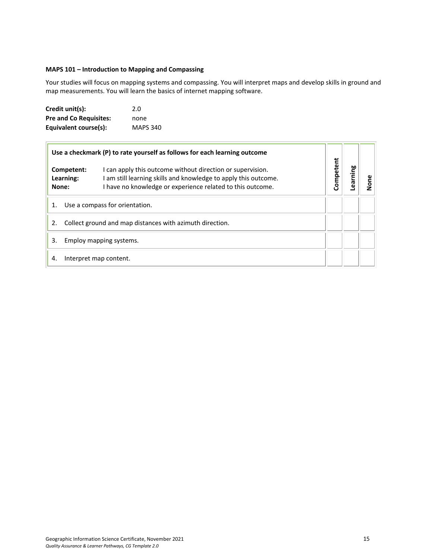# <span id="page-14-0"></span>**MAPS 101 – Introduction to Mapping and Compassing**

Your studies will focus on mapping systems and compassing. You will interpret maps and develop skills in ground and map measurements. You will learn the basics of internet mapping software.

| Credit unit(s):               | 2.0             |
|-------------------------------|-----------------|
| <b>Pre and Co Requisites:</b> | none            |
| Equivalent course(s):         | <b>MAPS 340</b> |

|    |                                  | Use a checkmark (P) to rate yourself as follows for each learning outcome                                                                                                                   |           |          |      |
|----|----------------------------------|---------------------------------------------------------------------------------------------------------------------------------------------------------------------------------------------|-----------|----------|------|
|    | Competent:<br>Learning:<br>None: | I can apply this outcome without direction or supervision.<br>I am still learning skills and knowledge to apply this outcome.<br>I have no knowledge or experience related to this outcome. | Competent | earning. | None |
| 1. |                                  | Use a compass for orientation.                                                                                                                                                              |           |          |      |
|    |                                  | Collect ground and map distances with azimuth direction.                                                                                                                                    |           |          |      |
| 3. |                                  | Employ mapping systems.                                                                                                                                                                     |           |          |      |
| 4. |                                  | Interpret map content.                                                                                                                                                                      |           |          |      |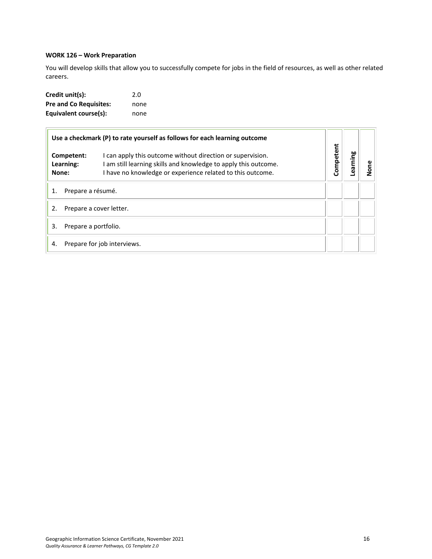# <span id="page-15-0"></span>**WORK 126 – Work Preparation**

You will develop skills that allow you to successfully compete for jobs in the field of resources, as well as other related careers.

| Credit unit(s):               | 2.0  |
|-------------------------------|------|
| <b>Pre and Co Requisites:</b> | none |
| Equivalent course(s):         | none |

|       |                         | Use a checkmark (P) to rate yourself as follows for each learning outcome                                                                                                                 |           |         |      |
|-------|-------------------------|-------------------------------------------------------------------------------------------------------------------------------------------------------------------------------------------|-----------|---------|------|
| None: | Competent:<br>Learning: | I can apply this outcome without direction or supervision.<br>am still learning skills and knowledge to apply this outcome.<br>I have no knowledge or experience related to this outcome. | Competent | earning | None |
|       | Prepare a résumé.       |                                                                                                                                                                                           |           |         |      |
| 2.    | Prepare a cover letter. |                                                                                                                                                                                           |           |         |      |
| 3.    | Prepare a portfolio.    |                                                                                                                                                                                           |           |         |      |
| 4.    |                         | Prepare for job interviews.                                                                                                                                                               |           |         |      |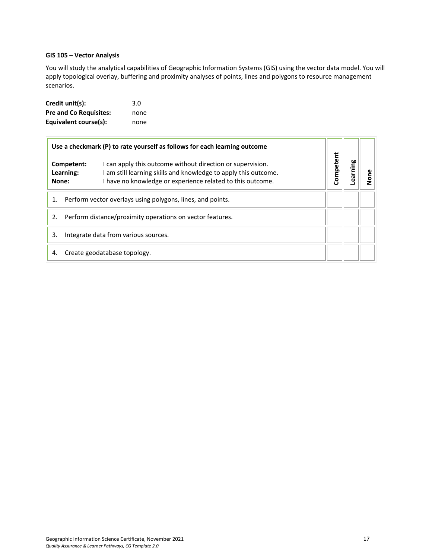# <span id="page-16-0"></span>**GIS 105 – Vector Analysis**

You will study the analytical capabilities of Geographic Information Systems (GIS) using the vector data model. You will apply topological overlay, buffering and proximity analyses of points, lines and polygons to resource management scenarios.

| Credit unit(s):               | 3.0  |
|-------------------------------|------|
| <b>Pre and Co Requisites:</b> | none |
| Equivalent course(s):         | none |

|                                                                  | Use a checkmark (P) to rate yourself as follows for each learning outcome                                                                                                                   |           |         |   |
|------------------------------------------------------------------|---------------------------------------------------------------------------------------------------------------------------------------------------------------------------------------------|-----------|---------|---|
| Competent:<br>Learning:<br>None:                                 | I can apply this outcome without direction or supervision.<br>I am still learning skills and knowledge to apply this outcome.<br>I have no knowledge or experience related to this outcome. | Competent | earning | ā |
| Perform vector overlays using polygons, lines, and points.<br>1. |                                                                                                                                                                                             |           |         |   |
| Perform distance/proximity operations on vector features.<br>2.  |                                                                                                                                                                                             |           |         |   |
| 3.<br>Integrate data from various sources.                       |                                                                                                                                                                                             |           |         |   |
| 4.                                                               | Create geodatabase topology.                                                                                                                                                                |           |         |   |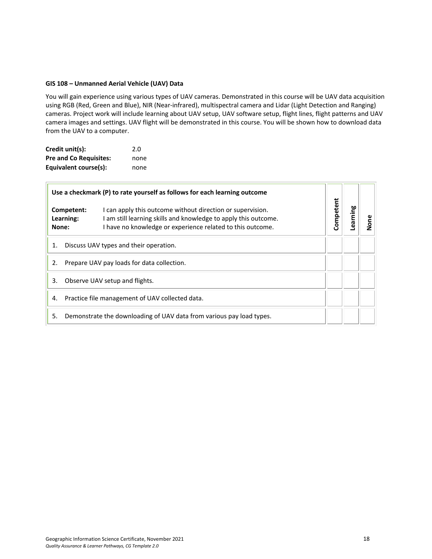#### <span id="page-17-0"></span>**GIS 108 – Unmanned Aerial Vehicle (UAV) Data**

You will gain experience using various types of UAV cameras. Demonstrated in this course will be UAV data acquisition using RGB (Red, Green and Blue), NIR (Near-infrared), multispectral camera and Lidar (Light Detection and Ranging) cameras. Project work will include learning about UAV setup, UAV software setup, flight lines, flight patterns and UAV camera images and settings. UAV flight will be demonstrated in this course. You will be shown how to download data from the UAV to a computer.

| Credit unit(s):               | 2.0  |
|-------------------------------|------|
| <b>Pre and Co Requisites:</b> | none |
| Equivalent course(s):         | none |

| Use a checkmark (P) to rate yourself as follows for each learning outcome |                                        |                                                                                                                                                                                             |           |         |      |
|---------------------------------------------------------------------------|----------------------------------------|---------------------------------------------------------------------------------------------------------------------------------------------------------------------------------------------|-----------|---------|------|
|                                                                           | Competent:<br>Learning:<br>None:       | I can apply this outcome without direction or supervision.<br>I am still learning skills and knowledge to apply this outcome.<br>I have no knowledge or experience related to this outcome. | Competent | earning | None |
| 1.                                                                        | Discuss UAV types and their operation. |                                                                                                                                                                                             |           |         |      |
| Prepare UAV pay loads for data collection.<br>2.                          |                                        |                                                                                                                                                                                             |           |         |      |
| 3.<br>Observe UAV setup and flights.                                      |                                        |                                                                                                                                                                                             |           |         |      |
| Practice file management of UAV collected data.<br>4.                     |                                        |                                                                                                                                                                                             |           |         |      |
| 5.                                                                        |                                        | Demonstrate the downloading of UAV data from various pay load types.                                                                                                                        |           |         |      |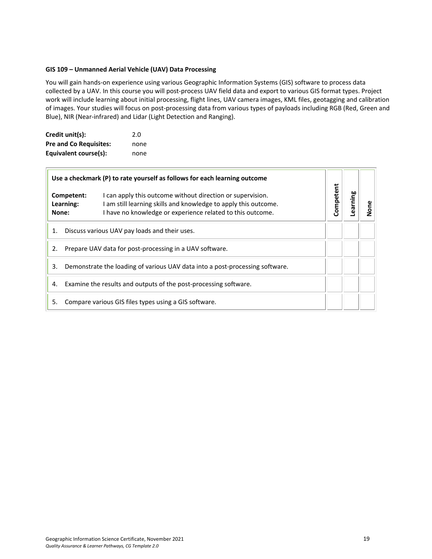# <span id="page-18-0"></span>**GIS 109 – Unmanned Aerial Vehicle (UAV) Data Processing**

You will gain hands-on experience using various Geographic Information Systems (GIS) software to process data collected by a UAV. In this course you will post-process UAV field data and export to various GIS format types. Project work will include learning about initial processing, flight lines, UAV camera images, KML files, geotagging and calibration of images. Your studies will focus on post-processing data from various types of payloads including RGB (Red, Green and Blue), NIR (Near-infrared) and Lidar (Light Detection and Ranging).

| Credit unit(s):               | 2.0  |
|-------------------------------|------|
| <b>Pre and Co Requisites:</b> | none |
| Equivalent course(s):         | none |

|                                                                                    | Use a checkmark (P) to rate yourself as follows for each learning outcome                                                                                                                                            |           |         |     |  |
|------------------------------------------------------------------------------------|----------------------------------------------------------------------------------------------------------------------------------------------------------------------------------------------------------------------|-----------|---------|-----|--|
| None:                                                                              | I can apply this outcome without direction or supervision.<br>Competent:<br>am still learning skills and knowledge to apply this outcome.<br>Learning:<br>I have no knowledge or experience related to this outcome. | Competent | earning | one |  |
| 1.                                                                                 | Discuss various UAV pay loads and their uses.                                                                                                                                                                        |           |         |     |  |
| 2.                                                                                 | Prepare UAV data for post-processing in a UAV software.                                                                                                                                                              |           |         |     |  |
| Demonstrate the loading of various UAV data into a post-processing software.<br>3. |                                                                                                                                                                                                                      |           |         |     |  |
| Examine the results and outputs of the post-processing software.<br>4.             |                                                                                                                                                                                                                      |           |         |     |  |
| 5.                                                                                 | Compare various GIS files types using a GIS software.                                                                                                                                                                |           |         |     |  |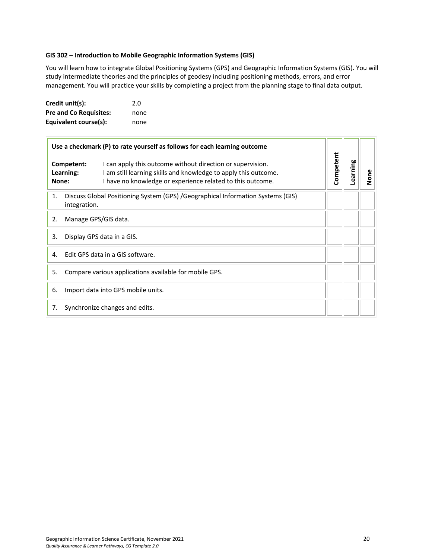#### <span id="page-19-0"></span>**GIS 302 – Introduction to Mobile Geographic Information Systems (GIS)**

You will learn how to integrate Global Positioning Systems (GPS) and Geographic Information Systems (GIS). You will study intermediate theories and the principles of geodesy including positioning methods, errors, and error management. You will practice your skills by completing a project from the planning stage to final data output.

| Credit unit(s):               | 2.0  |
|-------------------------------|------|
| <b>Pre and Co Requisites:</b> | none |
| Equivalent course(s):         | none |

| Use a checkmark (P) to rate yourself as follows for each learning outcome |                                                                                                                                                                                                                        |           |          |      |
|---------------------------------------------------------------------------|------------------------------------------------------------------------------------------------------------------------------------------------------------------------------------------------------------------------|-----------|----------|------|
| None:                                                                     | Competent:<br>I can apply this outcome without direction or supervision.<br>I am still learning skills and knowledge to apply this outcome.<br>Learning:<br>I have no knowledge or experience related to this outcome. | Competent | Learning | None |
| 1.                                                                        | Discuss Global Positioning System (GPS) /Geographical Information Systems (GIS)<br>integration.                                                                                                                        |           |          |      |
| Manage GPS/GIS data.<br>2.                                                |                                                                                                                                                                                                                        |           |          |      |
| 3.                                                                        | Display GPS data in a GIS.                                                                                                                                                                                             |           |          |      |
| 4.                                                                        | Edit GPS data in a GIS software.                                                                                                                                                                                       |           |          |      |
| Compare various applications available for mobile GPS.<br>5.              |                                                                                                                                                                                                                        |           |          |      |
| 6.                                                                        | Import data into GPS mobile units.                                                                                                                                                                                     |           |          |      |
| 7.                                                                        | Synchronize changes and edits.                                                                                                                                                                                         |           |          |      |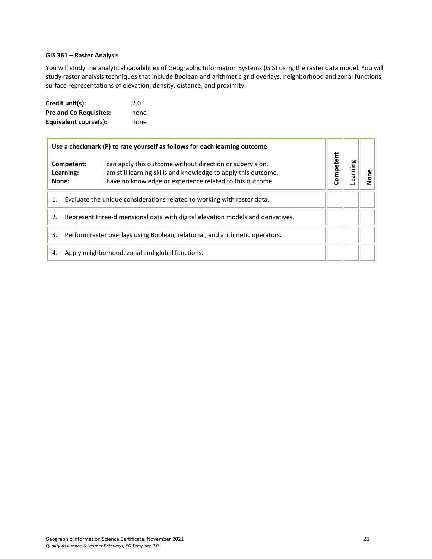#### <span id="page-20-0"></span>**GIS 361 – Raster Analysis**

You will study the analytical capabilities of Geographic Information Systems (GIS) using the raster data model. You will study raster analysis techniques that include Boolean and arithmetic grid overlays, neighborhood and zonal functions, surface representations of elevation, density, distance, and proximity.

| Credit unit(s):               | 2.0  |
|-------------------------------|------|
| <b>Pre and Co Requisites:</b> | none |
| Equivalent course(s):         | none |

|                                                                                 |                                                                              | Use a checkmark (P) to rate yourself as follows for each learning outcome                                                                                                                 |           |         |  |
|---------------------------------------------------------------------------------|------------------------------------------------------------------------------|-------------------------------------------------------------------------------------------------------------------------------------------------------------------------------------------|-----------|---------|--|
| None:                                                                           | Competent:<br>Learning:                                                      | I can apply this outcome without direction or supervision.<br>am still learning skills and knowledge to apply this outcome.<br>I have no knowledge or experience related to this outcome. | Competent | earning |  |
| Evaluate the unique considerations related to working with raster data.         |                                                                              |                                                                                                                                                                                           |           |         |  |
| Represent three-dimensional data with digital elevation models and derivatives. |                                                                              |                                                                                                                                                                                           |           |         |  |
| 3.                                                                              | Perform raster overlays using Boolean, relational, and arithmetic operators. |                                                                                                                                                                                           |           |         |  |
| 4.                                                                              |                                                                              | Apply neighborhood, zonal and global functions.                                                                                                                                           |           |         |  |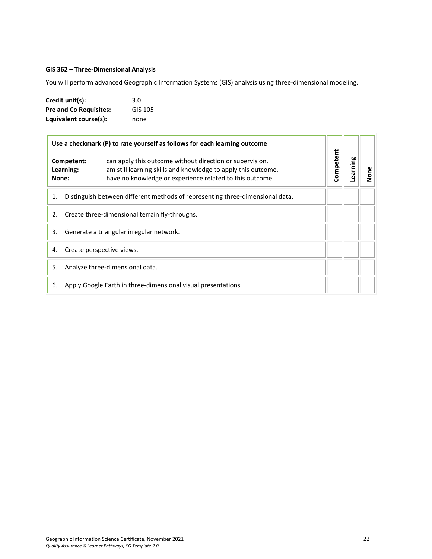# <span id="page-21-0"></span>**GIS 362 – Three-Dimensional Analysis**

You will perform advanced Geographic Information Systems (GIS) analysis using three-dimensional modeling.

| Credit unit(s):               | 3.0     |
|-------------------------------|---------|
| <b>Pre and Co Requisites:</b> | GIS 105 |
| Equivalent course(s):         | none    |

| Use a checkmark (P) to rate yourself as follows for each learning outcome |                                                                               |                                                                                                                                                                                             |                       |  |      |
|---------------------------------------------------------------------------|-------------------------------------------------------------------------------|---------------------------------------------------------------------------------------------------------------------------------------------------------------------------------------------|-----------------------|--|------|
|                                                                           | Competent:<br>Learning:<br>None:                                              | I can apply this outcome without direction or supervision.<br>I am still learning skills and knowledge to apply this outcome.<br>I have no knowledge or experience related to this outcome. | Competent<br>Learning |  | None |
| 1.                                                                        | Distinguish between different methods of representing three-dimensional data. |                                                                                                                                                                                             |                       |  |      |
| Create three-dimensional terrain fly-throughs.<br>2.                      |                                                                               |                                                                                                                                                                                             |                       |  |      |
| Generate a triangular irregular network.<br>3.                            |                                                                               |                                                                                                                                                                                             |                       |  |      |
| Create perspective views.<br>4.                                           |                                                                               |                                                                                                                                                                                             |                       |  |      |
| Analyze three-dimensional data.<br>5.                                     |                                                                               |                                                                                                                                                                                             |                       |  |      |
| Apply Google Earth in three-dimensional visual presentations.<br>6.       |                                                                               |                                                                                                                                                                                             |                       |  |      |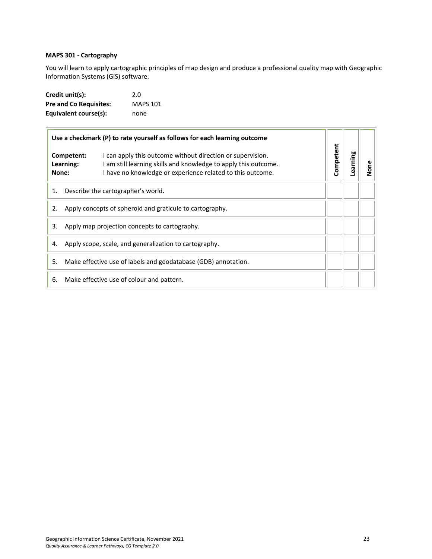# <span id="page-22-0"></span>**MAPS 301 - Cartography**

You will learn to apply cartographic principles of map design and produce a professional quality map with Geographic Information Systems (GIS) software.

| Credit unit(s):               | 2.0             |
|-------------------------------|-----------------|
| <b>Pre and Co Requisites:</b> | <b>MAPS 101</b> |
| Equivalent course(s):         | none            |

|       |                         | Use a checkmark (P) to rate yourself as follows for each learning outcome                                                                                                                   |                       |  |      |
|-------|-------------------------|---------------------------------------------------------------------------------------------------------------------------------------------------------------------------------------------|-----------------------|--|------|
| None: | Competent:<br>Learning: | I can apply this outcome without direction or supervision.<br>I am still learning skills and knowledge to apply this outcome.<br>I have no knowledge or experience related to this outcome. | Competent<br>Learning |  | None |
| 1.    |                         | Describe the cartographer's world.                                                                                                                                                          |                       |  |      |
| 2.    |                         | Apply concepts of spheroid and graticule to cartography.                                                                                                                                    |                       |  |      |
| 3.    |                         | Apply map projection concepts to cartography.                                                                                                                                               |                       |  |      |
| 4.    |                         | Apply scope, scale, and generalization to cartography.                                                                                                                                      |                       |  |      |
| 5.    |                         | Make effective use of labels and geodatabase (GDB) annotation.                                                                                                                              |                       |  |      |
| 6.    |                         | Make effective use of colour and pattern.                                                                                                                                                   |                       |  |      |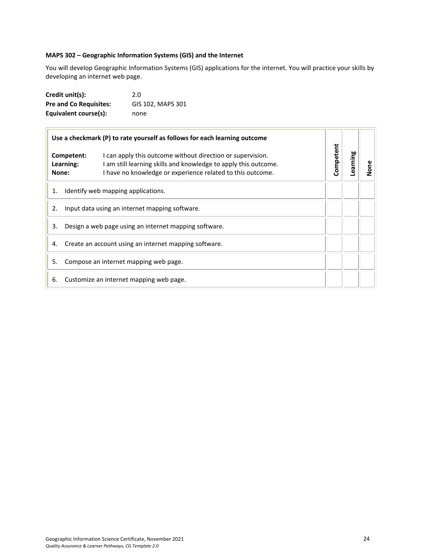# <span id="page-23-0"></span>**MAPS 302 – Geographic Information Systems (GIS) and the Internet**

You will develop Geographic Information Systems (GIS) applications for the internet. You will practice your skills by developing an internet web page.

| Credit unit(s):               | 2.0               |
|-------------------------------|-------------------|
| <b>Pre and Co Requisites:</b> | GIS 102, MAPS 301 |
| Equivalent course(s):         | none              |

|       |                         | Use a checkmark (P) to rate yourself as follows for each learning outcome                                                                                                                   |                       |  |      |
|-------|-------------------------|---------------------------------------------------------------------------------------------------------------------------------------------------------------------------------------------|-----------------------|--|------|
| None: | Competent:<br>Learning: | I can apply this outcome without direction or supervision.<br>I am still learning skills and knowledge to apply this outcome.<br>I have no knowledge or experience related to this outcome. | Competent<br>Learning |  | None |
| 1.    |                         | Identify web mapping applications.                                                                                                                                                          |                       |  |      |
| 2.    |                         | Input data using an internet mapping software.                                                                                                                                              |                       |  |      |
| 3.    |                         | Design a web page using an internet mapping software.                                                                                                                                       |                       |  |      |
| 4.    |                         | Create an account using an internet mapping software.                                                                                                                                       |                       |  |      |
| 5.    |                         | Compose an internet mapping web page.                                                                                                                                                       |                       |  |      |
| 6.    |                         | Customize an internet mapping web page.                                                                                                                                                     |                       |  |      |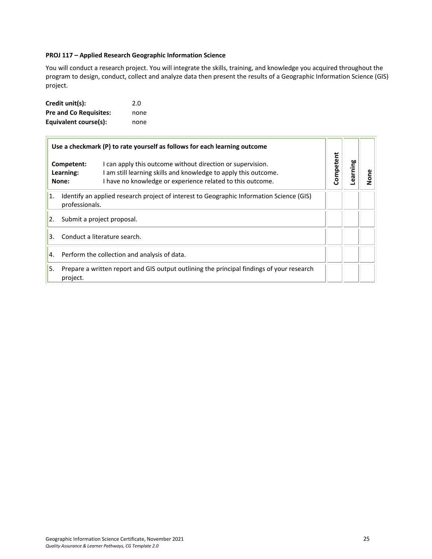#### <span id="page-24-0"></span>**PROJ 117 – Applied Research Geographic Information Science**

You will conduct a research project. You will integrate the skills, training, and knowledge you acquired throughout the program to design, conduct, collect and analyze data then present the results of a Geographic Information Science (GIS) project.

| Credit unit(s):               | 2.0  |
|-------------------------------|------|
| <b>Pre and Co Requisites:</b> | none |
| Equivalent course(s):         | none |

|    | Use a checkmark (P) to rate yourself as follows for each learning outcome                                                                                                                                                     |  |           |          |      |
|----|-------------------------------------------------------------------------------------------------------------------------------------------------------------------------------------------------------------------------------|--|-----------|----------|------|
|    | I can apply this outcome without direction or supervision.<br>Competent:<br>am still learning skills and knowledge to apply this outcome.<br>Learning:<br>I have no knowledge or experience related to this outcome.<br>None: |  | Competent | Learning | None |
| 1. | Identify an applied research project of interest to Geographic Information Science (GIS)<br>professionals.                                                                                                                    |  |           |          |      |
| 2. | Submit a project proposal.                                                                                                                                                                                                    |  |           |          |      |
| 3. | Conduct a literature search.                                                                                                                                                                                                  |  |           |          |      |
| 4. | Perform the collection and analysis of data.                                                                                                                                                                                  |  |           |          |      |
| 5. | Prepare a written report and GIS output outlining the principal findings of your research<br>project.                                                                                                                         |  |           |          |      |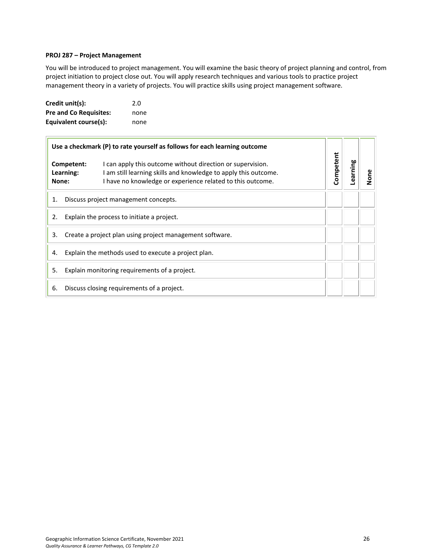#### <span id="page-25-0"></span>**PROJ 287 – Project Management**

You will be introduced to project management. You will examine the basic theory of project planning and control, from project initiation to project close out. You will apply research techniques and various tools to practice project management theory in a variety of projects. You will practice skills using project management software.

| Credit unit(s):               | 2.0  |
|-------------------------------|------|
| <b>Pre and Co Requisites:</b> | none |
| Equivalent course(s):         | none |

| Use a checkmark (P) to rate yourself as follows for each learning outcome |                                      |                                                                                                                                                                                             |                       |  |      |
|---------------------------------------------------------------------------|--------------------------------------|---------------------------------------------------------------------------------------------------------------------------------------------------------------------------------------------|-----------------------|--|------|
| None:                                                                     | Competent:<br>Learning:              | I can apply this outcome without direction or supervision.<br>I am still learning skills and knowledge to apply this outcome.<br>I have no knowledge or experience related to this outcome. | Competent<br>earning- |  | None |
| 1.                                                                        | Discuss project management concepts. |                                                                                                                                                                                             |                       |  |      |
| Explain the process to initiate a project.<br>2.                          |                                      |                                                                                                                                                                                             |                       |  |      |
| Create a project plan using project management software.<br>3.            |                                      |                                                                                                                                                                                             |                       |  |      |
| Explain the methods used to execute a project plan.<br>4.                 |                                      |                                                                                                                                                                                             |                       |  |      |
| 5.<br>Explain monitoring requirements of a project.                       |                                      |                                                                                                                                                                                             |                       |  |      |
| 6.                                                                        |                                      | Discuss closing requirements of a project.                                                                                                                                                  |                       |  |      |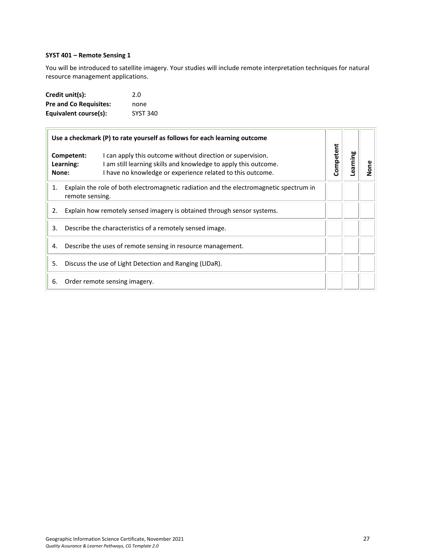# <span id="page-26-0"></span>**SYST 401 – Remote Sensing 1**

You will be introduced to satellite imagery. Your studies will include remote interpretation techniques for natural resource management applications.

| Credit unit(s):               | 2.0             |
|-------------------------------|-----------------|
| <b>Pre and Co Requisites:</b> | none            |
| Equivalent course(s):         | <b>SYST 340</b> |

|       |                         | Use a checkmark (P) to rate yourself as follows for each learning outcome                                                                                                                   |                       |  |      |
|-------|-------------------------|---------------------------------------------------------------------------------------------------------------------------------------------------------------------------------------------|-----------------------|--|------|
| None: | Competent:<br>Learning: | I can apply this outcome without direction or supervision.<br>I am still learning skills and knowledge to apply this outcome.<br>I have no knowledge or experience related to this outcome. | Competent<br>Learning |  | None |
| 1.    | remote sensing.         | Explain the role of both electromagnetic radiation and the electromagnetic spectrum in                                                                                                      |                       |  |      |
| 2.    |                         | Explain how remotely sensed imagery is obtained through sensor systems.                                                                                                                     |                       |  |      |
| 3.    |                         | Describe the characteristics of a remotely sensed image.                                                                                                                                    |                       |  |      |
| 4.    |                         | Describe the uses of remote sensing in resource management.                                                                                                                                 |                       |  |      |
| 5.    |                         | Discuss the use of Light Detection and Ranging (LIDaR).                                                                                                                                     |                       |  |      |
| 6.    |                         | Order remote sensing imagery.                                                                                                                                                               |                       |  |      |